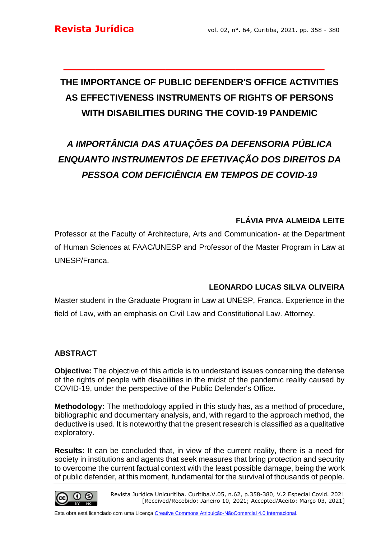# **THE IMPORTANCE OF PUBLIC DEFENDER'S OFFICE ACTIVITIES AS EFFECTIVENESS INSTRUMENTS OF RIGHTS OF PERSONS WITH DISABILITIES DURING THE COVID-19 PANDEMIC**

**\_\_\_\_\_\_\_\_\_\_\_\_\_\_\_\_\_\_\_\_\_\_\_\_\_\_\_\_\_\_\_\_\_\_\_\_\_\_\_\_\_**

# *A IMPORTÂNCIA DAS ATUAÇÕES DA DEFENSORIA PÚBLICA ENQUANTO INSTRUMENTOS DE EFETIVAÇÃO DOS DIREITOS DA PESSOA COM DEFICIÊNCIA EM TEMPOS DE COVID-19*

# **FLÁVIA PIVA ALMEIDA LEITE**

Professor at the Faculty of Architecture, Arts and Communication- at the Department of Human Sciences at FAAC/UNESP and Professor of the Master Program in Law at UNESP/Franca.

# **LEONARDO LUCAS SILVA OLIVEIRA**

Master student in the Graduate Program in Law at UNESP, Franca. Experience in the field of Law, with an emphasis on Civil Law and Constitutional Law. Attorney.

# **ABSTRACT**

**Objective:** The objective of this article is to understand issues concerning the defense of the rights of people with disabilities in the midst of the pandemic reality caused by COVID-19, under the perspective of the Public Defender's Office.

**Methodology:** The methodology applied in this study has, as a method of procedure, bibliographic and documentary analysis, and, with regard to the approach method, the deductive is used. It is noteworthy that the present research is classified as a qualitative exploratory.

**Results:** It can be concluded that, in view of the current reality, there is a need for society in institutions and agents that seek measures that bring protection and security to overcome the current factual context with the least possible damage, being the work of public defender, at this moment, fundamental for the survival of thousands of people.

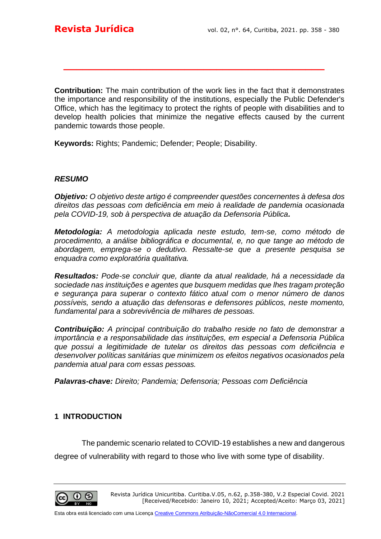**Contribution:** The main contribution of the work lies in the fact that it demonstrates the importance and responsibility of the institutions, especially the Public Defender's Office, which has the legitimacy to protect the rights of people with disabilities and to develop health policies that minimize the negative effects caused by the current pandemic towards those people.

**\_\_\_\_\_\_\_\_\_\_\_\_\_\_\_\_\_\_\_\_\_\_\_\_\_\_\_\_\_\_\_\_\_\_\_\_\_\_\_\_\_**

**Keywords:** Rights; Pandemic; Defender; People; Disability.

#### *RESUMO*

*Objetivo: O objetivo deste artigo é compreender questões concernentes à defesa dos direitos das pessoas com deficiência em meio à realidade de pandemia ocasionada pela COVID-19, sob à perspectiva de atuação da Defensoria Pública.* 

*Metodologia: A metodologia aplicada neste estudo, tem-se, como método de procedimento, a análise bibliográfica e documental, e, no que tange ao método de abordagem, emprega-se o dedutivo. Ressalte-se que a presente pesquisa se enquadra como exploratória qualitativa.*

*Resultados: Pode-se concluir que, diante da atual realidade, há a necessidade da sociedade nas instituições e agentes que busquem medidas que lhes tragam proteção e segurança para superar o contexto fático atual com o menor número de danos possíveis, sendo a atuação das defensoras e defensores públicos, neste momento, fundamental para a sobrevivência de milhares de pessoas.*

*Contribuição: A principal contribuição do trabalho reside no fato de demonstrar a importância e a responsabilidade das instituições, em especial a Defensoria Pública que possui a legitimidade de tutelar os direitos das pessoas com deficiência e desenvolver políticas sanitárias que minimizem os efeitos negativos ocasionados pela pandemia atual para com essas pessoas.* 

*Palavras-chave: Direito; Pandemia; Defensoria; Pessoas com Deficiência*

### **1 INTRODUCTION**

The pandemic scenario related to COVID-19 establishes a new and dangerous

degree of vulnerability with regard to those who live with some type of disability.

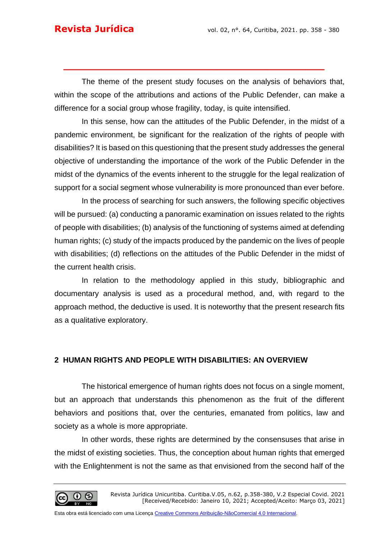The theme of the present study focuses on the analysis of behaviors that, within the scope of the attributions and actions of the Public Defender, can make a difference for a social group whose fragility, today, is quite intensified.

**\_\_\_\_\_\_\_\_\_\_\_\_\_\_\_\_\_\_\_\_\_\_\_\_\_\_\_\_\_\_\_\_\_\_\_\_\_\_\_\_\_**

In this sense, how can the attitudes of the Public Defender, in the midst of a pandemic environment, be significant for the realization of the rights of people with disabilities? It is based on this questioning that the present study addresses the general objective of understanding the importance of the work of the Public Defender in the midst of the dynamics of the events inherent to the struggle for the legal realization of support for a social segment whose vulnerability is more pronounced than ever before.

In the process of searching for such answers, the following specific objectives will be pursued: (a) conducting a panoramic examination on issues related to the rights of people with disabilities; (b) analysis of the functioning of systems aimed at defending human rights; (c) study of the impacts produced by the pandemic on the lives of people with disabilities; (d) reflections on the attitudes of the Public Defender in the midst of the current health crisis.

In relation to the methodology applied in this study, bibliographic and documentary analysis is used as a procedural method, and, with regard to the approach method, the deductive is used. It is noteworthy that the present research fits as a qualitative exploratory.

# **2 HUMAN RIGHTS AND PEOPLE WITH DISABILITIES: AN OVERVIEW**

The historical emergence of human rights does not focus on a single moment, but an approach that understands this phenomenon as the fruit of the different behaviors and positions that, over the centuries, emanated from politics, law and society as a whole is more appropriate.

In other words, these rights are determined by the consensuses that arise in the midst of existing societies. Thus, the conception about human rights that emerged with the Enlightenment is not the same as that envisioned from the second half of the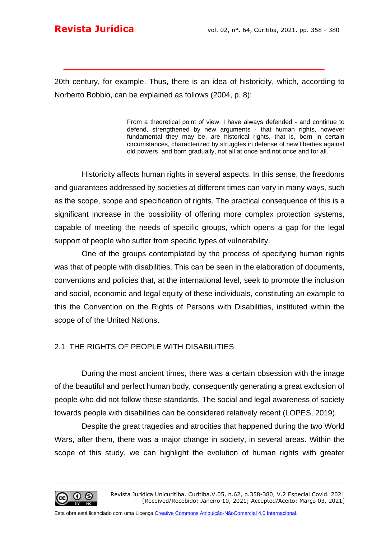20th century, for example. Thus, there is an idea of historicity, which, according to Norberto Bobbio, can be explained as follows (2004, p. 8):

**\_\_\_\_\_\_\_\_\_\_\_\_\_\_\_\_\_\_\_\_\_\_\_\_\_\_\_\_\_\_\_\_\_\_\_\_\_\_\_\_\_**

From a theoretical point of view, I have always defended - and continue to defend, strengthened by new arguments - that human rights, however fundamental they may be, are historical rights, that is, born in certain circumstances, characterized by struggles in defense of new liberties against old powers, and born gradually, not all at once and not once and for all.

Historicity affects human rights in several aspects. In this sense, the freedoms and guarantees addressed by societies at different times can vary in many ways, such as the scope, scope and specification of rights. The practical consequence of this is a significant increase in the possibility of offering more complex protection systems, capable of meeting the needs of specific groups, which opens a gap for the legal support of people who suffer from specific types of vulnerability.

One of the groups contemplated by the process of specifying human rights was that of people with disabilities. This can be seen in the elaboration of documents, conventions and policies that, at the international level, seek to promote the inclusion and social, economic and legal equity of these individuals, constituting an example to this the Convention on the Rights of Persons with Disabilities, instituted within the scope of of the United Nations.

# 2.1 THE RIGHTS OF PEOPLE WITH DISABILITIES

During the most ancient times, there was a certain obsession with the image of the beautiful and perfect human body, consequently generating a great exclusion of people who did not follow these standards. The social and legal awareness of society towards people with disabilities can be considered relatively recent (LOPES, 2019).

Despite the great tragedies and atrocities that happened during the two World Wars, after them, there was a major change in society, in several areas. Within the scope of this study, we can highlight the evolution of human rights with greater

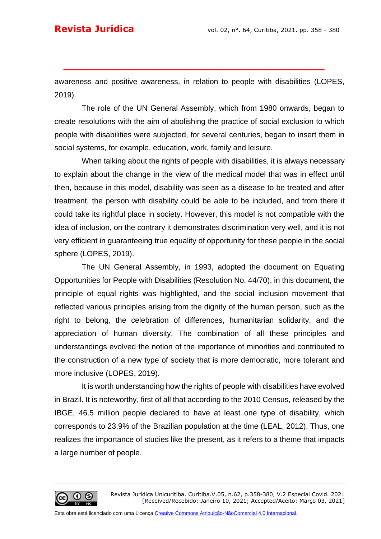awareness and positive awareness, in relation to people with disabilities (LOPES, 2019).

**\_\_\_\_\_\_\_\_\_\_\_\_\_\_\_\_\_\_\_\_\_\_\_\_\_\_\_\_\_\_\_\_\_\_\_\_\_\_\_\_\_**

The role of the UN General Assembly, which from 1980 onwards, began to create resolutions with the aim of abolishing the practice of social exclusion to which people with disabilities were subjected, for several centuries, began to insert them in social systems, for example, education, work, family and leisure.

When talking about the rights of people with disabilities, it is always necessary to explain about the change in the view of the medical model that was in effect until then, because in this model, disability was seen as a disease to be treated and after treatment, the person with disability could be able to be included, and from there it could take its rightful place in society. However, this model is not compatible with the idea of inclusion, on the contrary it demonstrates discrimination very well, and it is not very efficient in guaranteeing true equality of opportunity for these people in the social sphere (LOPES, 2019).

The UN General Assembly, in 1993, adopted the document on Equating Opportunities for People with Disabilities (Resolution No. 44/70), in this document, the principle of equal rights was highlighted, and the social inclusion movement that reflected various principles arising from the dignity of the human person, such as the right to belong, the celebration of differences, humanitarian solidarity, and the appreciation of human diversity. The combination of all these principles and understandings evolved the notion of the importance of minorities and contributed to the construction of a new type of society that is more democratic, more tolerant and more inclusive (LOPES, 2019).

It is worth understanding how the rights of people with disabilities have evolved in Brazil. It is noteworthy, first of all that according to the 2010 Census, released by the IBGE, 46.5 million people declared to have at least one type of disability, which corresponds to 23.9% of the Brazilian population at the time (LEAL, 2012). Thus, one realizes the importance of studies like the present, as it refers to a theme that impacts a large number of people.

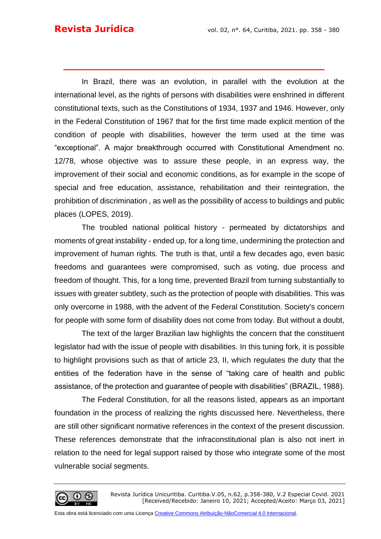In Brazil, there was an evolution, in parallel with the evolution at the international level, as the rights of persons with disabilities were enshrined in different constitutional texts, such as the Constitutions of 1934, 1937 and 1946. However, only in the Federal Constitution of 1967 that for the first time made explicit mention of the condition of people with disabilities, however the term used at the time was "exceptional". A major breakthrough occurred with Constitutional Amendment no. 12/78, whose objective was to assure these people, in an express way, the improvement of their social and economic conditions, as for example in the scope of special and free education, assistance, rehabilitation and their reintegration, the prohibition of discrimination , as well as the possibility of access to buildings and public places (LOPES, 2019).

**\_\_\_\_\_\_\_\_\_\_\_\_\_\_\_\_\_\_\_\_\_\_\_\_\_\_\_\_\_\_\_\_\_\_\_\_\_\_\_\_\_**

The troubled national political history - permeated by dictatorships and moments of great instability - ended up, for a long time, undermining the protection and improvement of human rights. The truth is that, until a few decades ago, even basic freedoms and guarantees were compromised, such as voting, due process and freedom of thought. This, for a long time, prevented Brazil from turning substantially to issues with greater subtlety, such as the protection of people with disabilities. This was only overcome in 1988, with the advent of the Federal Constitution. Society's concern for people with some form of disability does not come from today. But without a doubt,

The text of the larger Brazilian law highlights the concern that the constituent legislator had with the issue of people with disabilities. In this tuning fork, it is possible to highlight provisions such as that of article 23, II, which regulates the duty that the entities of the federation have in the sense of "taking care of health and public assistance, of the protection and guarantee of people with disabilities" (BRAZIL, 1988).

The Federal Constitution, for all the reasons listed, appears as an important foundation in the process of realizing the rights discussed here. Nevertheless, there are still other significant normative references in the context of the present discussion. These references demonstrate that the infraconstitutional plan is also not inert in relation to the need for legal support raised by those who integrate some of the most vulnerable social segments.

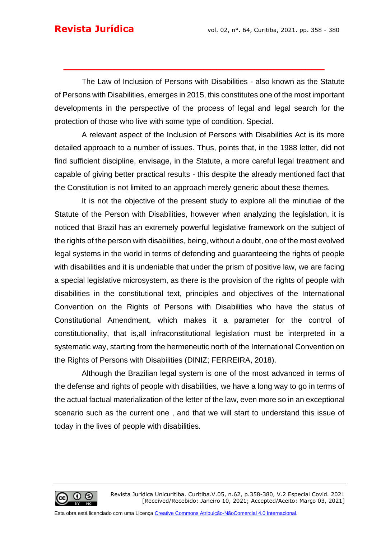The Law of Inclusion of Persons with Disabilities - also known as the Statute of Persons with Disabilities, emerges in 2015, this constitutes one of the most important developments in the perspective of the process of legal and legal search for the protection of those who live with some type of condition. Special.

**\_\_\_\_\_\_\_\_\_\_\_\_\_\_\_\_\_\_\_\_\_\_\_\_\_\_\_\_\_\_\_\_\_\_\_\_\_\_\_\_\_**

A relevant aspect of the Inclusion of Persons with Disabilities Act is its more detailed approach to a number of issues. Thus, points that, in the 1988 letter, did not find sufficient discipline, envisage, in the Statute, a more careful legal treatment and capable of giving better practical results - this despite the already mentioned fact that the Constitution is not limited to an approach merely generic about these themes.

It is not the objective of the present study to explore all the minutiae of the Statute of the Person with Disabilities, however when analyzing the legislation, it is noticed that Brazil has an extremely powerful legislative framework on the subject of the rights of the person with disabilities, being, without a doubt, one of the most evolved legal systems in the world in terms of defending and guaranteeing the rights of people with disabilities and it is undeniable that under the prism of positive law, we are facing a special legislative microsystem, as there is the provision of the rights of people with disabilities in the constitutional text, principles and objectives of the International Convention on the Rights of Persons with Disabilities who have the status of Constitutional Amendment, which makes it a parameter for the control of constitutionality, that is,all infraconstitutional legislation must be interpreted in a systematic way, starting from the hermeneutic north of the International Convention on the Rights of Persons with Disabilities (DINIZ; FERREIRA, 2018).

Although the Brazilian legal system is one of the most advanced in terms of the defense and rights of people with disabilities, we have a long way to go in terms of the actual factual materialization of the letter of the law, even more so in an exceptional scenario such as the current one , and that we will start to understand this issue of today in the lives of people with disabilities.

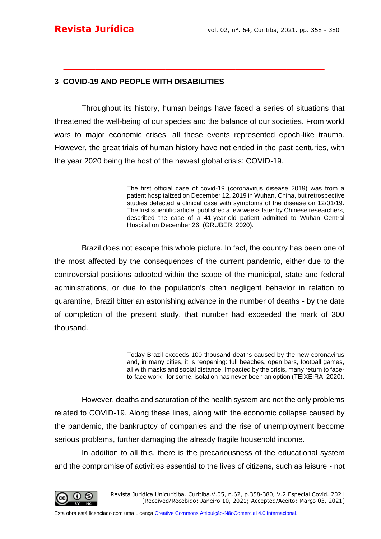#### **3 COVID-19 AND PEOPLE WITH DISABILITIES**

Throughout its history, human beings have faced a series of situations that threatened the well-being of our species and the balance of our societies. From world wars to major economic crises, all these events represented epoch-like trauma. However, the great trials of human history have not ended in the past centuries, with the year 2020 being the host of the newest global crisis: COVID-19.

**\_\_\_\_\_\_\_\_\_\_\_\_\_\_\_\_\_\_\_\_\_\_\_\_\_\_\_\_\_\_\_\_\_\_\_\_\_\_\_\_\_**

The first official case of covid-19 (coronavirus disease 2019) was from a patient hospitalized on December 12, 2019 in Wuhan, China, but retrospective studies detected a clinical case with symptoms of the disease on 12/01/19. The first [scientific article,](https://www.nature.com/articles/s41586-020-2008-3) published a few weeks later by Chinese researchers, described the case of a 41-year-old patient admitted to Wuhan Central Hospital on December 26. (GRUBER, 2020).

Brazil does not escape this whole picture. In fact, the country has been one of the most affected by the consequences of the current pandemic, either due to the controversial positions adopted within the scope of the municipal, state and federal administrations, or due to the population's often negligent behavior in relation to quarantine, Brazil bitter an astonishing advance in the number of deaths - by the date of completion of the present study, that number had exceeded the mark of 300 thousand.

> Today Brazil exceeds 100 thousand deaths caused by the new coronavirus and, in many cities, it is reopening: full beaches, open bars, football games, all with masks and social distance. Impacted by the crisis, many return to faceto-face work - for some, isolation has never been an option (TEIXEIRA, 2020).

However, deaths and saturation of the health system are not the only problems related to COVID-19. Along these lines, along with the economic collapse caused by the pandemic, the bankruptcy of companies and the rise of unemployment become serious problems, further damaging the already fragile household income.

In addition to all this, there is the precariousness of the educational system and the compromise of activities essential to the lives of citizens, such as leisure - not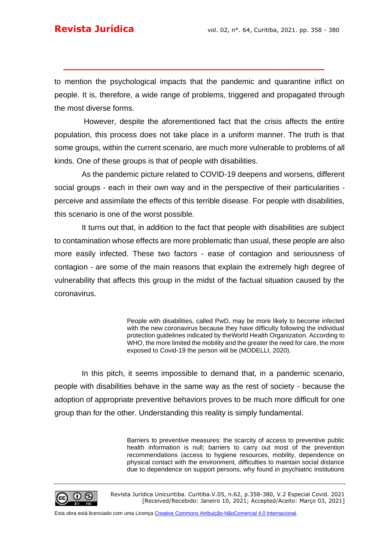to mention the psychological impacts that the pandemic and quarantine inflict on people. It is, therefore, a wide range of problems, triggered and propagated through the most diverse forms.

**\_\_\_\_\_\_\_\_\_\_\_\_\_\_\_\_\_\_\_\_\_\_\_\_\_\_\_\_\_\_\_\_\_\_\_\_\_\_\_\_\_**

However, despite the aforementioned fact that the crisis affects the entire population, this process does not take place in a uniform manner. The truth is that some groups, within the current scenario, are much more vulnerable to problems of all kinds. One of these groups is that of people with disabilities.

As the pandemic picture related to COVID-19 deepens and worsens, different social groups - each in their own way and in the perspective of their particularities perceive and assimilate the effects of this terrible disease. For people with disabilities, this scenario is one of the worst possible.

It turns out that, in addition to the fact that people with disabilities are subject to contamination whose effects are more problematic than usual, these people are also more easily infected. These two factors - ease of contagion and seriousness of contagion - are some of the main reasons that explain the extremely high degree of vulnerability that affects this group in the midst of the factual situation caused by the coronavirus.

> People with disabilities, called PwD, may be more likely to become infected with the new coronavirus because they have difficulty following the individual protection guidelines indicated by th[eWorld Health Organization.](https://g1.globo.com/tudo-sobre/organizacao-mundial-de-saude/) According to WHO, the more limited the mobility and the greater the need for care, the more exposed to Covid-19 the person will be (MODELLI, 2020).

In this pitch, it seems impossible to demand that, in a pandemic scenario, people with disabilities behave in the same way as the rest of society - because the adoption of appropriate preventive behaviors proves to be much more difficult for one group than for the other. Understanding this reality is simply fundamental.

> Barriers to preventive measures: the scarcity of access to preventive public health information is null; barriers to carry out most of the prevention recommendations (access to hygiene resources, mobility, dependence on physical contact with the environment, difficulties to maintain social distance due to dependence on support persons, why found in psychiatric institutions



Revista Jurídica Unicuritiba. Curitiba.V.05, n.62, p.358-380, V.2 Especial Covid. 2021 [Received/Recebido: Janeiro 10, 2021; Accepted/Aceito: Março 03, 2021]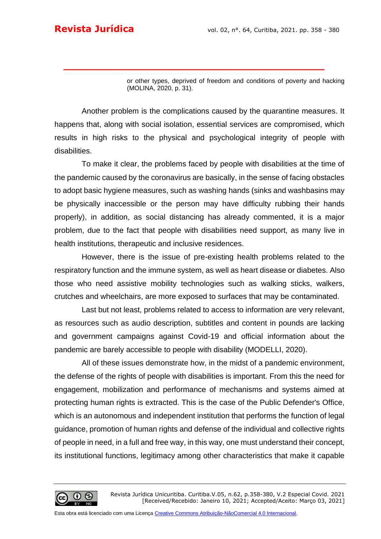or other types, deprived of freedom and conditions of poverty and hacking (MOLINA, 2020, p. 31).

Another problem is the complications caused by the quarantine measures. It happens that, along with social isolation, essential services are compromised, which results in high risks to the physical and psychological integrity of people with disabilities.

**\_\_\_\_\_\_\_\_\_\_\_\_\_\_\_\_\_\_\_\_\_\_\_\_\_\_\_\_\_\_\_\_\_\_\_\_\_\_\_\_\_**

To make it clear, the problems faced by people with disabilities at the time of the pandemic caused by the coronavirus are basically, in the sense of facing obstacles to adopt basic hygiene measures, such as washing hands (sinks and washbasins may be physically inaccessible or the person may have difficulty rubbing their hands properly), in addition, as social distancing has already commented, it is a major problem, due to the fact that people with disabilities need support, as many live in health institutions, therapeutic and inclusive residences.

However, there is the issue of pre-existing health problems related to the respiratory function and the immune system, as well as heart disease or diabetes. Also those who need assistive mobility technologies such as walking sticks, walkers, crutches and wheelchairs, are more exposed to surfaces that may be contaminated.

Last but not least, problems related to access to information are very relevant, as resources such as audio description, subtitles and content in pounds are lacking and government campaigns against Covid-19 and official information about the pandemic are barely accessible to people with disability (MODELLI, 2020).

All of these issues demonstrate how, in the midst of a pandemic environment, the defense of the rights of people with disabilities is important. From this the need for engagement, mobilization and performance of mechanisms and systems aimed at protecting human rights is extracted. This is the case of the Public Defender's Office, which is an autonomous and independent institution that performs the function of legal guidance, promotion of human rights and defense of the individual and collective rights of people in need, in a full and free way, in this way, one must understand their concept, its institutional functions, legitimacy among other characteristics that make it capable

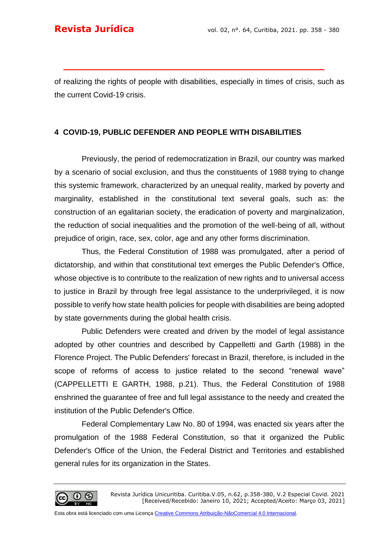of realizing the rights of people with disabilities, especially in times of crisis, such as the current Covid-19 crisis.

**\_\_\_\_\_\_\_\_\_\_\_\_\_\_\_\_\_\_\_\_\_\_\_\_\_\_\_\_\_\_\_\_\_\_\_\_\_\_\_\_\_**

## **4 COVID-19, PUBLIC DEFENDER AND PEOPLE WITH DISABILITIES**

Previously, the period of redemocratization in Brazil, our country was marked by a scenario of social exclusion, and thus the constituents of 1988 trying to change this systemic framework, characterized by an unequal reality, marked by poverty and marginality, established in the constitutional text several goals, such as: the construction of an egalitarian society, the eradication of poverty and marginalization, the reduction of social inequalities and the promotion of the well-being of all, without prejudice of origin, race, sex, color, age and any other forms discrimination.

Thus, the Federal Constitution of 1988 was promulgated, after a period of dictatorship, and within that constitutional text emerges the Public Defender's Office, whose objective is to contribute to the realization of new rights and to universal access to justice in Brazil by through free legal assistance to the underprivileged, it is now possible to verify how state health policies for people with disabilities are being adopted by state governments during the global health crisis.

Public Defenders were created and driven by the model of legal assistance adopted by other countries and described by Cappelletti and Garth (1988) in the Florence Project. The Public Defenders' forecast in Brazil, therefore, is included in the scope of reforms of access to justice related to the second "renewal wave" (CAPPELLETTI E GARTH, 1988, p.21). Thus, the Federal Constitution of 1988 enshrined the guarantee of free and full legal assistance to the needy and created the institution of the Public Defender's Office.

Federal Complementary Law No. 80 of 1994, was enacted six years after the promulgation of the 1988 Federal Constitution, so that it organized the Public Defender's Office of the Union, the Federal District and Territories and established general rules for its organization in the States.

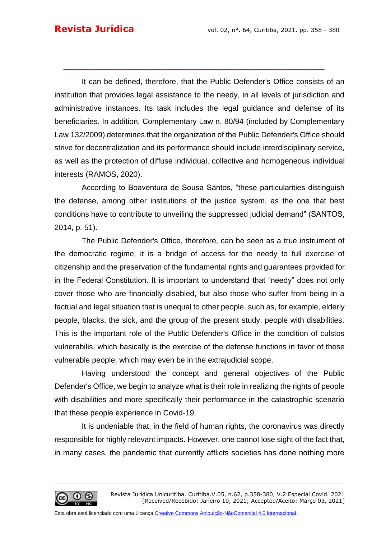It can be defined, therefore, that the Public Defender's Office consists of an institution that provides legal assistance to the needy, in all levels of jurisdiction and administrative instances. Its task includes the legal guidance and defense of its beneficiaries. In addition, Complementary Law n. 80/94 (included by Complementary Law 132/2009) determines that the organization of the Public Defender's Office should strive for decentralization and its performance should include interdisciplinary service, as well as the protection of diffuse individual, collective and homogeneous individual interests (RAMOS, 2020).

**\_\_\_\_\_\_\_\_\_\_\_\_\_\_\_\_\_\_\_\_\_\_\_\_\_\_\_\_\_\_\_\_\_\_\_\_\_\_\_\_\_**

According to Boaventura de Sousa Santos, "these particularities distinguish the defense, among other institutions of the justice system, as the one that best conditions have to contribute to unveiling the suppressed judicial demand" (SANTOS, 2014, p. 51).

The Public Defender's Office, therefore, can be seen as a true instrument of the democratic regime, it is a bridge of access for the needy to full exercise of citizenship and the preservation of the fundamental rights and guarantees provided for in the Federal Constitution. It is important to understand that "needy" does not only cover those who are financially disabled, but also those who suffer from being in a factual and legal situation that is unequal to other people, such as, for example, elderly people, blacks, the sick, and the group of the present study, people with disabilities. This is the important role of the Public Defender's Office in the condition of culstos vulnerabilis, which basically is the exercise of the defense functions in favor of these vulnerable people, which may even be in the extrajudicial scope.

Having understood the concept and general objectives of the Public Defender's Office, we begin to analyze what is their role in realizing the rights of people with disabilities and more specifically their performance in the catastrophic scenario that these people experience in Covid-19.

It is undeniable that, in the field of human rights, the coronavirus was directly responsible for highly relevant impacts. However, one cannot lose sight of the fact that, in many cases, the pandemic that currently afflicts societies has done nothing more

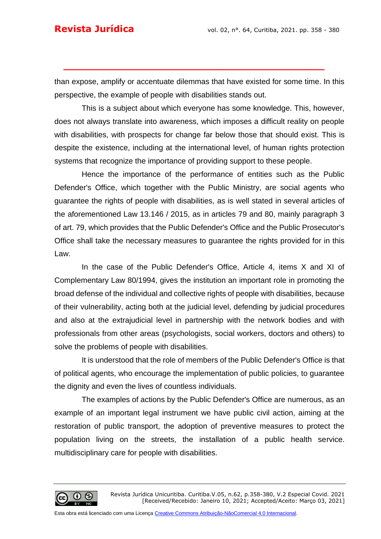than expose, amplify or accentuate dilemmas that have existed for some time. In this perspective, the example of people with disabilities stands out.

**\_\_\_\_\_\_\_\_\_\_\_\_\_\_\_\_\_\_\_\_\_\_\_\_\_\_\_\_\_\_\_\_\_\_\_\_\_\_\_\_\_**

This is a subject about which everyone has some knowledge. This, however, does not always translate into awareness, which imposes a difficult reality on people with disabilities, with prospects for change far below those that should exist. This is despite the existence, including at the international level, of human rights protection systems that recognize the importance of providing support to these people.

Hence the importance of the performance of entities such as the Public Defender's Office, which together with the Public Ministry, are social agents who guarantee the rights of people with disabilities, as is well stated in several articles of the aforementioned Law 13.146 / 2015, as in articles 79 and 80, mainly paragraph 3 of art. 79, which provides that the Public Defender's Office and the Public Prosecutor's Office shall take the necessary measures to guarantee the rights provided for in this Law.

In the case of the Public Defender's Office, Article 4, items X and XI of Complementary Law 80/1994, gives the institution an important role in promoting the broad defense of the individual and collective rights of people with disabilities, because of their vulnerability, acting both at the judicial level, defending by judicial procedures and also at the extrajudicial level in partnership with the network bodies and with professionals from other areas (psychologists, social workers, doctors and others) to solve the problems of people with disabilities.

It is understood that the role of members of the Public Defender's Office is that of political agents, who encourage the implementation of public policies, to guarantee the dignity and even the lives of countless individuals.

The examples of actions by the Public Defender's Office are numerous, as an example of an important legal instrument we have public civil action, aiming at the restoration of public transport, the adoption of preventive measures to protect the population living on the streets, the installation of a public health service. multidisciplinary care for people with disabilities.

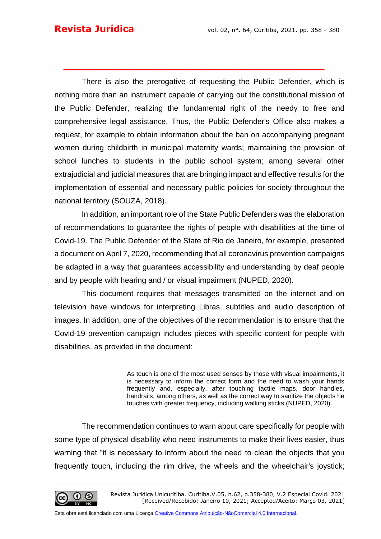There is also the prerogative of requesting the Public Defender, which is nothing more than an instrument capable of carrying out the constitutional mission of the Public Defender, realizing the fundamental right of the needy to free and comprehensive legal assistance. Thus, the Public Defender's Office also makes a request, for example to obtain information about the ban on accompanying pregnant women during childbirth in municipal maternity wards; maintaining the provision of school lunches to students in the public school system; among several other extrajudicial and judicial measures that are bringing impact and effective results for the implementation of essential and necessary public policies for society throughout the national territory (SOUZA, 2018).

**\_\_\_\_\_\_\_\_\_\_\_\_\_\_\_\_\_\_\_\_\_\_\_\_\_\_\_\_\_\_\_\_\_\_\_\_\_\_\_\_\_**

In addition, an important role of the State Public Defenders was the elaboration of recommendations to guarantee the rights of people with disabilities at the time of Covid-19. The Public Defender of the State of Rio de Janeiro, for example, presented a document on April 7, 2020, recommending that all coronavirus prevention campaigns be adapted in a way that guarantees accessibility and understanding by deaf people and by people with hearing and / or visual impairment (NUPED, 2020).

This document requires that messages transmitted on the internet and on television have windows for interpreting Libras, subtitles and audio description of images. In addition, one of the objectives of the recommendation is to ensure that the Covid-19 prevention campaign includes pieces with specific content for people with disabilities, as provided in the document:

> As touch is one of the most used senses by those with visual impairments, it is necessary to inform the correct form and the need to wash your hands frequently and, especially, after touching tactile maps, door handles, handrails, among others, as well as the correct way to sanitize the objects he touches with greater frequency, including walking sticks (NUPED, 2020).

The recommendation continues to warn about care specifically for people with some type of physical disability who need instruments to make their lives easier, thus warning that "it is necessary to inform about the need to clean the objects that you frequently touch, including the rim drive, the wheels and the wheelchair's joystick;

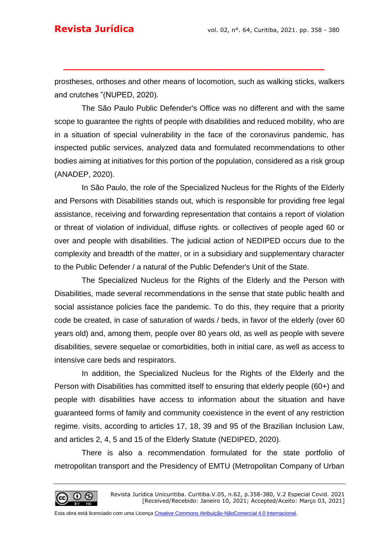prostheses, orthoses and other means of locomotion, such as walking sticks, walkers and crutches "(NUPED, 2020).

**\_\_\_\_\_\_\_\_\_\_\_\_\_\_\_\_\_\_\_\_\_\_\_\_\_\_\_\_\_\_\_\_\_\_\_\_\_\_\_\_\_**

The São Paulo Public Defender's Office was no different and with the same scope to guarantee the rights of people with disabilities and reduced mobility, who are in a situation of special vulnerability in the face of the coronavirus pandemic, has inspected public services, analyzed data and formulated recommendations to other bodies aiming at initiatives for this portion of the population, considered as a risk group (ANADEP, 2020).

In São Paulo, the role of the Specialized Nucleus for the Rights of the Elderly and Persons with Disabilities stands out, which is responsible for providing free legal assistance, receiving and forwarding representation that contains a report of violation or threat of violation of individual, diffuse rights. or collectives of people aged 60 or over and people with disabilities. The judicial action of NEDIPED occurs due to the complexity and breadth of the matter, or in a subsidiary and supplementary character to the Public Defender / a natural of the Public Defender's Unit of the State.

The Specialized Nucleus for the Rights of the Elderly and the Person with Disabilities, made several recommendations in the sense that state public health and social assistance policies face the pandemic. To do this, they require that a priority code be created, in case of saturation of wards / beds, in favor of the elderly (over 60 years old) and, among them, people over 80 years old, as well as people with severe disabilities, severe sequelae or comorbidities, both in initial care, as well as access to intensive care beds and respirators.

In addition, the Specialized Nucleus for the Rights of the Elderly and the Person with Disabilities has committed itself to ensuring that elderly people (60+) and people with disabilities have access to information about the situation and have guaranteed forms of family and community coexistence in the event of any restriction regime. visits, according to articles 17, 18, 39 and 95 of the Brazilian Inclusion Law, and articles 2, 4, 5 and 15 of the Elderly Statute (NEDIPED, 2020).

There is also a recommendation formulated for the state portfolio of metropolitan transport and the Presidency of EMTU (Metropolitan Company of Urban

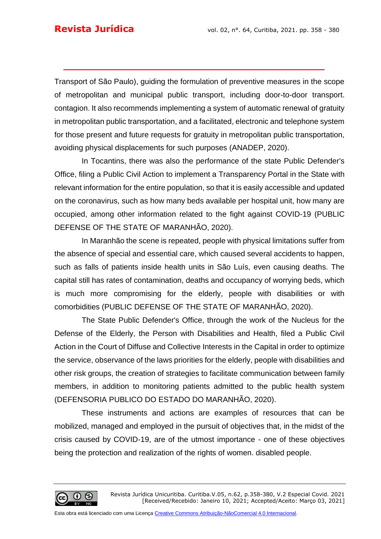Transport of São Paulo), guiding the formulation of preventive measures in the scope of metropolitan and municipal public transport, including door-to-door transport. contagion. It also recommends implementing a system of automatic renewal of gratuity in metropolitan public transportation, and a facilitated, electronic and telephone system for those present and future requests for gratuity in metropolitan public transportation, avoiding physical displacements for such purposes (ANADEP, 2020).

**\_\_\_\_\_\_\_\_\_\_\_\_\_\_\_\_\_\_\_\_\_\_\_\_\_\_\_\_\_\_\_\_\_\_\_\_\_\_\_\_\_**

In Tocantins, there was also the performance of the state Public Defender's Office, filing a Public Civil Action to implement a Transparency Portal in the State with relevant information for the entire population, so that it is easily accessible and updated on the coronavirus, such as how many beds available per hospital unit, how many are occupied, among other information related to the fight against COVID-19 (PUBLIC DEFENSE OF THE STATE OF MARANHÃO, 2020).

In Maranhão the scene is repeated, people with physical limitations suffer from the absence of special and essential care, which caused several accidents to happen, such as falls of patients inside health units in São Luís, even causing deaths. The capital still has rates of contamination, deaths and occupancy of worrying beds, which is much more compromising for the elderly, people with disabilities or with comorbidities (PUBLIC DEFENSE OF THE STATE OF MARANHÃO, 2020).

The State Public Defender's Office, through the work of the Nucleus for the Defense of the Elderly, the Person with Disabilities and Health, filed a Public Civil Action in the Court of Diffuse and Collective Interests in the Capital in order to optimize the service, observance of the laws priorities for the elderly, people with disabilities and other risk groups, the creation of strategies to facilitate communication between family members, in addition to monitoring patients admitted to the public health system (DEFENSORIA PUBLICO DO ESTADO DO MARANHÃO, 2020).

These instruments and actions are examples of resources that can be mobilized, managed and employed in the pursuit of objectives that, in the midst of the crisis caused by COVID-19, are of the utmost importance - one of these objectives being the protection and realization of the rights of women. disabled people.

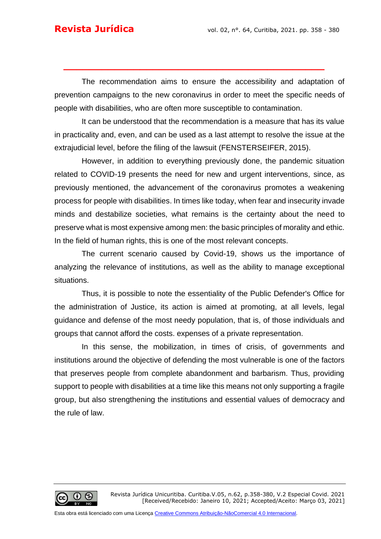The recommendation aims to ensure the accessibility and adaptation of prevention campaigns to the new coronavirus in order to meet the specific needs of people with disabilities, who are often more susceptible to contamination.

**\_\_\_\_\_\_\_\_\_\_\_\_\_\_\_\_\_\_\_\_\_\_\_\_\_\_\_\_\_\_\_\_\_\_\_\_\_\_\_\_\_**

It can be understood that the recommendation is a measure that has its value in practicality and, even, and can be used as a last attempt to resolve the issue at the extrajudicial level, before the filing of the lawsuit (FENSTERSEIFER, 2015).

However, in addition to everything previously done, the pandemic situation related to COVID-19 presents the need for new and urgent interventions, since, as previously mentioned, the advancement of the coronavirus promotes a weakening process for people with disabilities. In times like today, when fear and insecurity invade minds and destabilize societies, what remains is the certainty about the need to preserve what is most expensive among men: the basic principles of morality and ethic. In the field of human rights, this is one of the most relevant concepts.

The current scenario caused by Covid-19, shows us the importance of analyzing the relevance of institutions, as well as the ability to manage exceptional situations.

Thus, it is possible to note the essentiality of the Public Defender's Office for the administration of Justice, its action is aimed at promoting, at all levels, legal guidance and defense of the most needy population, that is, of those individuals and groups that cannot afford the costs. expenses of a private representation.

In this sense, the mobilization, in times of crisis, of governments and institutions around the objective of defending the most vulnerable is one of the factors that preserves people from complete abandonment and barbarism. Thus, providing support to people with disabilities at a time like this means not only supporting a fragile group, but also strengthening the institutions and essential values of democracy and the rule of law.

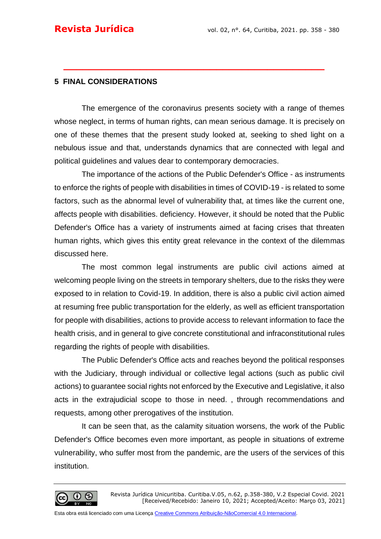### **5 FINAL CONSIDERATIONS**

The emergence of the coronavirus presents society with a range of themes whose neglect, in terms of human rights, can mean serious damage. It is precisely on one of these themes that the present study looked at, seeking to shed light on a nebulous issue and that, understands dynamics that are connected with legal and political guidelines and values dear to contemporary democracies.

**\_\_\_\_\_\_\_\_\_\_\_\_\_\_\_\_\_\_\_\_\_\_\_\_\_\_\_\_\_\_\_\_\_\_\_\_\_\_\_\_\_**

The importance of the actions of the Public Defender's Office - as instruments to enforce the rights of people with disabilities in times of COVID-19 - is related to some factors, such as the abnormal level of vulnerability that, at times like the current one, affects people with disabilities. deficiency. However, it should be noted that the Public Defender's Office has a variety of instruments aimed at facing crises that threaten human rights, which gives this entity great relevance in the context of the dilemmas discussed here.

The most common legal instruments are public civil actions aimed at welcoming people living on the streets in temporary shelters, due to the risks they were exposed to in relation to Covid-19. In addition, there is also a public civil action aimed at resuming free public transportation for the elderly, as well as efficient transportation for people with disabilities, actions to provide access to relevant information to face the health crisis, and in general to give concrete constitutional and infraconstitutional rules regarding the rights of people with disabilities.

The Public Defender's Office acts and reaches beyond the political responses with the Judiciary, through individual or collective legal actions (such as public civil actions) to guarantee social rights not enforced by the Executive and Legislative, it also acts in the extrajudicial scope to those in need. , through recommendations and requests, among other prerogatives of the institution.

It can be seen that, as the calamity situation worsens, the work of the Public Defender's Office becomes even more important, as people in situations of extreme vulnerability, who suffer most from the pandemic, are the users of the services of this institution.

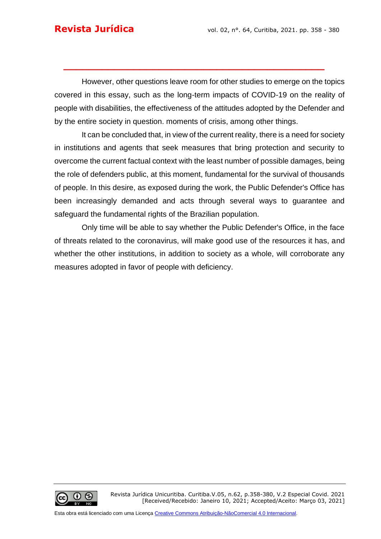However, other questions leave room for other studies to emerge on the topics covered in this essay, such as the long-term impacts of COVID-19 on the reality of people with disabilities, the effectiveness of the attitudes adopted by the Defender and by the entire society in question. moments of crisis, among other things.

**\_\_\_\_\_\_\_\_\_\_\_\_\_\_\_\_\_\_\_\_\_\_\_\_\_\_\_\_\_\_\_\_\_\_\_\_\_\_\_\_\_**

It can be concluded that, in view of the current reality, there is a need for society in institutions and agents that seek measures that bring protection and security to overcome the current factual context with the least number of possible damages, being the role of defenders public, at this moment, fundamental for the survival of thousands of people. In this desire, as exposed during the work, the Public Defender's Office has been increasingly demanded and acts through several ways to guarantee and safeguard the fundamental rights of the Brazilian population.

Only time will be able to say whether the Public Defender's Office, in the face of threats related to the coronavirus, will make good use of the resources it has, and whether the other institutions, in addition to society as a whole, will corroborate any measures adopted in favor of people with deficiency.

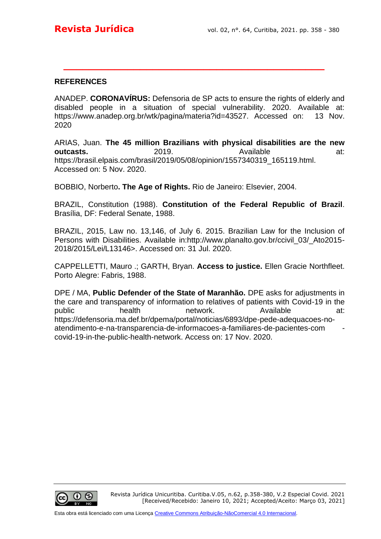#### **REFERENCES**

ANADEP. **CORONAVÍRUS:** Defensoria de SP acts to ensure the rights of elderly and disabled people in a situation of special vulnerability. 2020. Available at: https://www.anadep.org.br/wtk/pagina/materia?id=43527. Accessed on: 13 Nov. 2020

**\_\_\_\_\_\_\_\_\_\_\_\_\_\_\_\_\_\_\_\_\_\_\_\_\_\_\_\_\_\_\_\_\_\_\_\_\_\_\_\_\_**

ARIAS, Juan. **The 45 million Brazilians with physical disabilities are the new outcasts.** 2019. **Available** at: https://brasil.elpais.com/brasil/2019/05/08/opinion/1557340319\_165119.html. Accessed on: 5 Nov. 2020.

BOBBIO, Norberto**. The Age of Rights.** Rio de Janeiro: Elsevier, 2004.

BRAZIL, Constitution (1988). **Constitution of the Federal Republic of Brazil**. Brasília, DF: Federal Senate, 1988.

BRAZIL, 2015, Law no. 13,146, of July 6. 2015. Brazilian Law for the Inclusion of Persons with Disabilities. Available in:http://www.planalto.gov.br/ccivil 03/ Ato2015-2018/2015/Lei/L13146>. Accessed on: 31 Jul. 2020.

CAPPELLETTI, Mauro .; GARTH, Bryan. **Access to justice.** Ellen Gracie Northfleet. Porto Alegre: Fabris, 1988.

DPE / MA, **Public Defender of the State of Maranhão.** DPE asks for adjustments in the care and transparency of information to relatives of patients with Covid-19 in the public bealth network. Available at: https://defensoria.ma.def.br/dpema/portal/noticias/6893/dpe-pede-adequacoes-noatendimento-e-na-transparencia-de-informacoes-a-familiares-de-pacientes-com covid-19-in-the-public-health-network. Access on: 17 Nov. 2020.

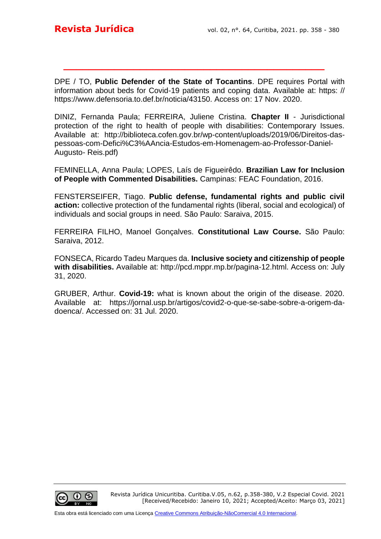DPE / TO, **Public Defender of the State of Tocantins**. DPE requires Portal with information about beds for Covid-19 patients and coping data. Available at: https: // https://www.defensoria.to.def.br/noticia/43150. Access on: 17 Nov. 2020.

**\_\_\_\_\_\_\_\_\_\_\_\_\_\_\_\_\_\_\_\_\_\_\_\_\_\_\_\_\_\_\_\_\_\_\_\_\_\_\_\_\_**

DINIZ, Fernanda Paula; FERREIRA, Juliene Cristina. **Chapter II** - Jurisdictional protection of the right to health of people with disabilities: Contemporary Issues. Available at: http://biblioteca.cofen.gov.br/wp-content/uploads/2019/06/Direitos-daspessoas-com-Defici%C3%AAncia-Estudos-em-Homenagem-ao-Professor-Daniel-Augusto- Reis.pdf)

FEMINELLA, Anna Paula; LOPES, Laís de Figueirêdo. **Brazilian Law for Inclusion of People with Commented Disabilities.** Campinas: FEAC Foundation, 2016.

FENSTERSEIFER, Tiago. **Public defense, fundamental rights and public civil action:** collective protection of the fundamental rights (liberal, social and ecological) of individuals and social groups in need. São Paulo: Saraiva, 2015.

FERREIRA FILHO, Manoel Gonçalves. **Constitutional Law Course.** São Paulo: Saraiva, 2012.

FONSECA, Ricardo Tadeu Marques da. **Inclusive society and citizenship of people with disabilities.** Available at: http://pcd.mppr.mp.br/pagina-12.html. Access on: July 31, 2020.

GRUBER, Arthur. **Covid-19:** what is known about the origin of the disease. 2020. Available at: https://jornal.usp.br/artigos/covid2-o-que-se-sabe-sobre-a-origem-dadoenca/. Accessed on: 31 Jul. 2020.

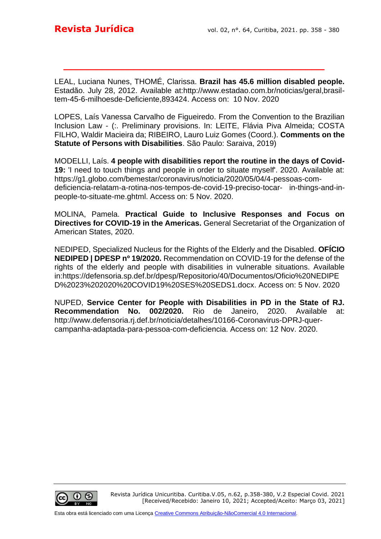LEAL, Luciana Nunes, THOMÉ, Clarissa. **Brazil has 45.6 million disabled people.** Estadão. July 28, 2012. Available at:http://www.estadao.com.br/noticias/geral,brasiltem-45-6-milhoesde-Deficiente,893424. Access on: 10 Nov. 2020

**\_\_\_\_\_\_\_\_\_\_\_\_\_\_\_\_\_\_\_\_\_\_\_\_\_\_\_\_\_\_\_\_\_\_\_\_\_\_\_\_\_**

LOPES, Laís Vanessa Carvalho de Figueiredo. From the Convention to the Brazilian Inclusion Law - (:. Preliminary provisions. In: LEITE, Flávia Piva Almeida; COSTA FILHO, Waldir Macieira da; RIBEIRO, Lauro Luiz Gomes (Coord.). **Comments on the Statute of Persons with Disabilities**. São Paulo: Saraiva, 2019)

MODELLI, Laís. **4 people with disabilities report the routine in the days of Covid-19:** 'I need to touch things and people in order to situate myself'. 2020. Available at: https://g1.globo.com/bemestar/coronavirus/noticia/2020/05/04/4-pessoas-comdeficiencia-relatam-a-rotina-nos-tempos-de-covid-19-preciso-tocar- in-things-and-inpeople-to-situate-me.ghtml. Access on: 5 Nov. 2020.

MOLINA, Pamela. **Practical Guide to Inclusive Responses and Focus on Directives for COVID-19 in the Americas.** General Secretariat of the Organization of American States, 2020.

NEDIPED, Specialized Nucleus for the Rights of the Elderly and the Disabled. **OFÍCIO NEDIPED | DPESP nº 19/2020.** Recommendation on COVID-19 for the defense of the rights of the elderly and people with disabilities in vulnerable situations. Available in[:https://defensoria.sp.def.br/dpesp/Repositorio/40/Documentos/Oficio%20NEDIPE](https://defensoria.sp.def.br/dpesp/Repositorio/40/Documentos/Oficio%20NEDIPED%2023%202020%20COVID19%20SES%20SEDS1.docx) [D%2023%202020%20COVID19%20SES%20SEDS1.docx.](https://defensoria.sp.def.br/dpesp/Repositorio/40/Documentos/Oficio%20NEDIPED%2023%202020%20COVID19%20SES%20SEDS1.docx) Access on: 5 Nov. 2020

NUPED, **Service Center for People with Disabilities in PD in the State of RJ. Recommendation No. 002/2020.** Rio de Janeiro, 2020. Available at: http://www.defensoria.rj.def.br/noticia/detalhes/10166-Coronavirus-DPRJ-quercampanha-adaptada-para-pessoa-com-deficiencia. Access on: 12 Nov. 2020.